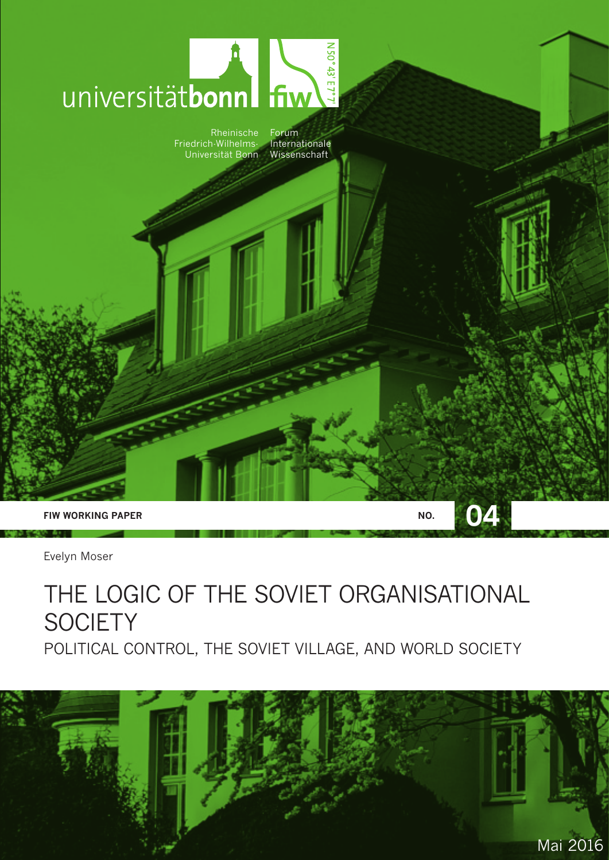

Evelyn Moser

## THE LOGIC OF THE SOVIET ORGANISATIONAL **SOCIETY** POLITICAL CONTROL, THE SOVIET VILLAGE, AND WORLD SOCIETY

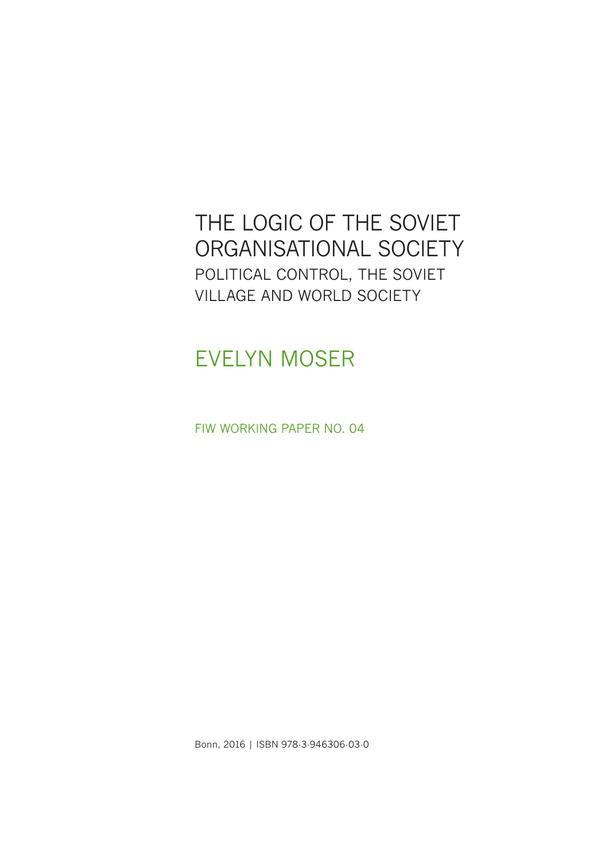#### THE LOGIC OF THE SOVIET ORGANISATIONAL SOCIETY POLITICAL CONTROL, THE SOVIET VILLAGE AND WORLD SOCIETY

## EVELYN MOSER

FIW WORKING PAPER NO. 04

Bonn, 2016 | ISBN 978-3-946306-03-0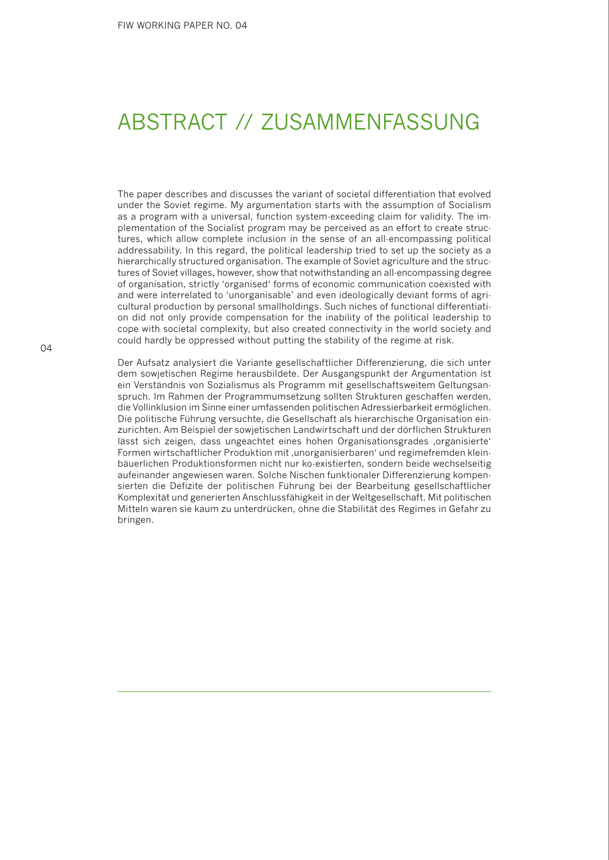## ABSTRACT // ZUSAMMENFASSUNG

The paper describes and discusses the variant of societal differentiation that evolved under the Soviet regime. My argumentation starts with the assumption of Socialism as a program with a universal, function system-exceeding claim for validity. The implementation of the Socialist program may be perceived as an effort to create structures, which allow complete inclusion in the sense of an all-encompassing political addressability. In this regard, the political leadership tried to set up the society as a hierarchically structured organisation. The example of Soviet agriculture and the structures of Soviet villages, however, show that notwithstanding an all-encompassing degree of organisation, strictly 'organised' forms of economic communication coexisted with and were interrelated to 'unorganisable' and even ideologically deviant forms of agricultural production by personal smallholdings. Such niches of functional differentiation did not only provide compensation for the inability of the political leadership to cope with societal complexity, but also created connectivity in the world society and could hardly be oppressed without putting the stability of the regime at risk.

Der Aufsatz analysiert die Variante gesellschaftlicher Differenzierung, die sich unter dem sowjetischen Regime herausbildete. Der Ausgangspunkt der Argumentation ist ein Verständnis von Sozialismus als Programm mit gesellschaftsweitem Geltungsanspruch. Im Rahmen der Programmumsetzung sollten Strukturen geschaffen werden, die Vollinklusion im Sinne einer umfassenden politischen Adressierbarkeit ermöglichen. Die politische Führung versuchte, die Gesellschaft als hierarchische Organisation einzurichten. Am Beispiel der sowjetischen Landwirtschaft und der dörflichen Strukturen lässt sich zeigen, dass ungeachtet eines hohen Organisationsgrades ,organisierte' Formen wirtschaftlicher Produktion mit , unorganisierbaren' und regimefremden kleinbäuerlichen Produktionsformen nicht nur ko-existierten, sondern beide wechselseitig aufeinander angewiesen waren. Solche Nischen funktionaler Differenzierung kompensierten die Defizite der politischen Führung bei der Bearbeitung gesellschaftlicher Komplexität und generierten Anschlussfähigkeit in der Weltgesellschaft. Mit politischen Mitteln waren sie kaum zu unterdrücken, ohne die Stabilität des Regimes in Gefahr zu bringen.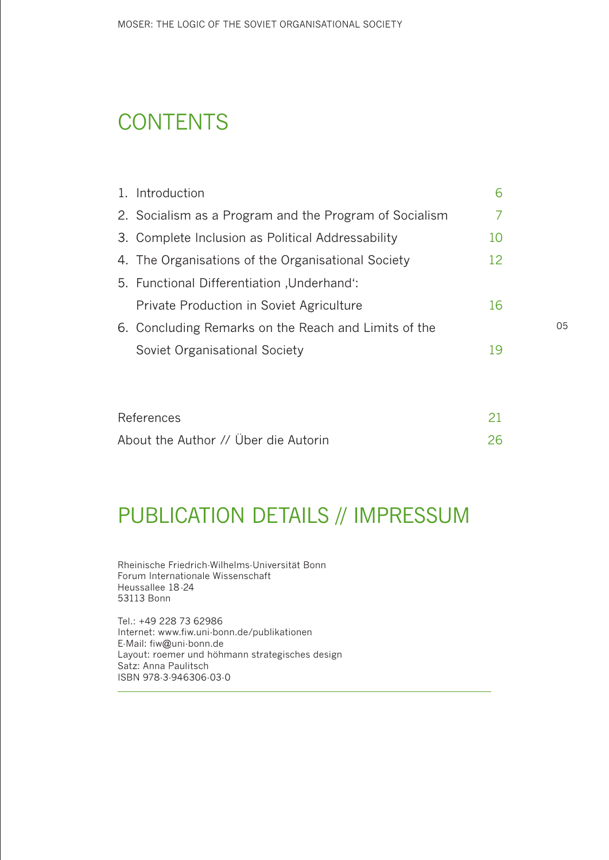## **CONTENTS**

| 1. Introduction                                        | 6  |  |
|--------------------------------------------------------|----|--|
| 2. Socialism as a Program and the Program of Socialism | 7  |  |
| 3. Complete Inclusion as Political Addressability      | 10 |  |
| 4. The Organisations of the Organisational Society     | 12 |  |
| 5. Functional Differentiation , Underhand':            |    |  |
| Private Production in Soviet Agriculture               | 16 |  |
| 6. Concluding Remarks on the Reach and Limits of the   |    |  |
| Soviet Organisational Society                          | 19 |  |
|                                                        |    |  |

| References                           |    |
|--------------------------------------|----|
| About the Author // Über die Autorin | 26 |

#### PUBLICATION DETAILS // IMPRESSUM

Rheinische Friedrich-Wilhelms-Universität Bonn Forum Internationale Wissenschaft Heussallee 18-24 53113 Bonn

Tel.: +49 228 73 62986 Internet: www.fiw.uni-bonn.de/publikationen E-Mail: fiw@uni-bonn.de Layout: roemer und höhmann strategisches design Satz: Anna Paulitsch ISBN 978-3-946306-03-0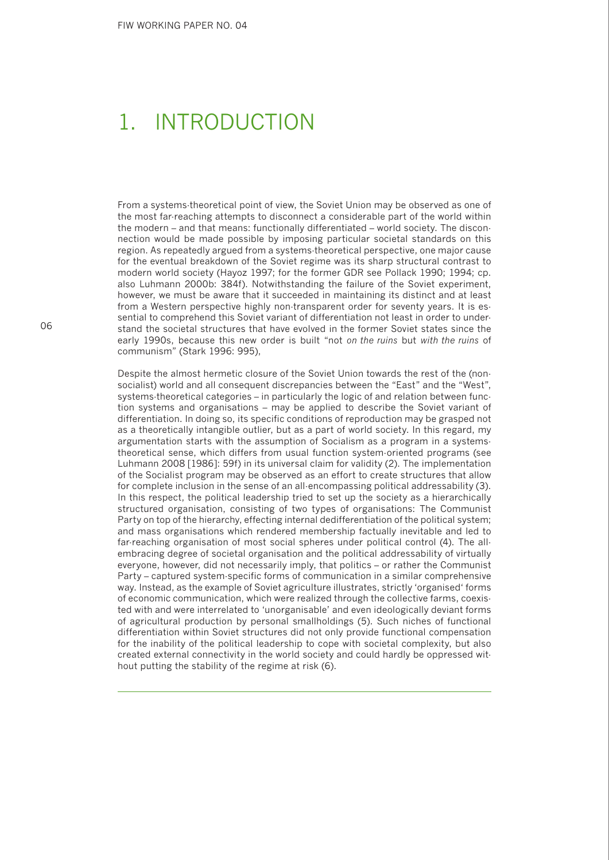## 1. INTRODUCTION

From a systems-theoretical point of view, the Soviet Union may be observed as one of the most far-reaching attempts to disconnect a considerable part of the world within the modern – and that means: functionally differentiated – world society. The disconnection would be made possible by imposing particular societal standards on this region. As repeatedly argued from a systems-theoretical perspective, one major cause for the eventual breakdown of the Soviet regime was its sharp structural contrast to modern world society (Hayoz 1997; for the former GDR see Pollack 1990; 1994; cp. also Luhmann 2000b: 384f). Notwithstanding the failure of the Soviet experiment, however, we must be aware that it succeeded in maintaining its distinct and at least from a Western perspective highly non-transparent order for seventy years. It is essential to comprehend this Soviet variant of differentiation not least in order to understand the societal structures that have evolved in the former Soviet states since the early 1990s, because this new order is built "not *on the ruins* but *with the ruins* of communism" (Stark 1996: 995),

Despite the almost hermetic closure of the Soviet Union towards the rest of the (nonsocialist) world and all consequent discrepancies between the "East" and the "West", systems-theoretical categories – in particularly the logic of and relation between function systems and organisations – may be applied to describe the Soviet variant of differentiation. In doing so, its specific conditions of reproduction may be grasped not as a theoretically intangible outlier, but as a part of world society. In this regard, my argumentation starts with the assumption of Socialism as a program in a systemstheoretical sense, which differs from usual function system-oriented programs (see Luhmann 2008 [1986]: 59f) in its universal claim for validity (2). The implementation of the Socialist program may be observed as an effort to create structures that allow for complete inclusion in the sense of an all-encompassing political addressability (3). In this respect, the political leadership tried to set up the society as a hierarchically structured organisation, consisting of two types of organisations: The Communist Party on top of the hierarchy, effecting internal dedifferentiation of the political system; and mass organisations which rendered membership factually inevitable and led to far-reaching organisation of most social spheres under political control (4). The allembracing degree of societal organisation and the political addressability of virtually everyone, however, did not necessarily imply, that politics – or rather the Communist Party – captured system-specific forms of communication in a similar comprehensive way. Instead, as the example of Soviet agriculture illustrates, strictly 'organised' forms of economic communication, which were realized through the collective farms, coexisted with and were interrelated to 'unorganisable' and even ideologically deviant forms of agricultural production by personal smallholdings (5). Such niches of functional differentiation within Soviet structures did not only provide functional compensation for the inability of the political leadership to cope with societal complexity, but also created external connectivity in the world society and could hardly be oppressed without putting the stability of the regime at risk (6).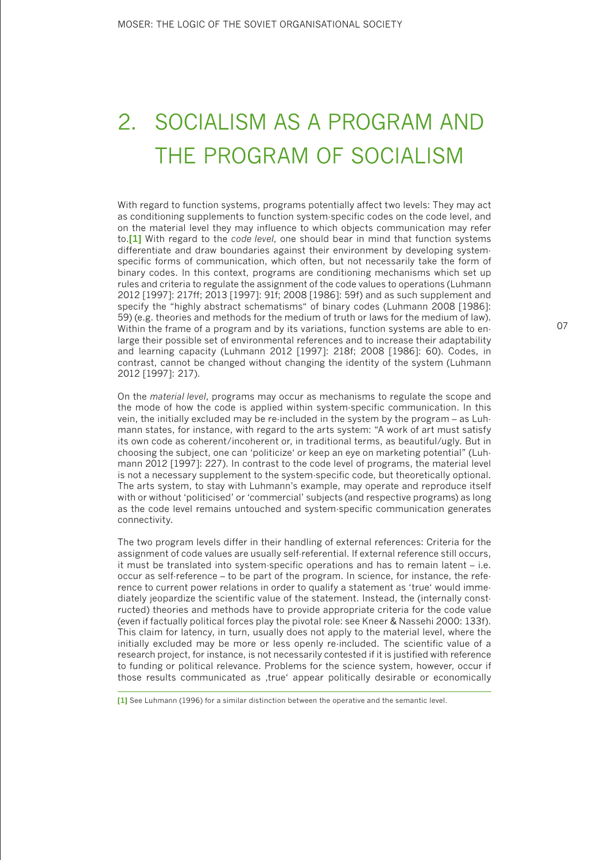## 2. SOCIALISM AS A PROGRAM AND THE PROGRAM OF SOCIALISM

With regard to function systems, programs potentially affect two levels: They may act as conditioning supplements to function system-specific codes on the code level, and on the material level they may influence to which objects communication may refer to.**[1]** With regard to the *code level*, one should bear in mind that function systems differentiate and draw boundaries against their environment by developing systemspecific forms of communication, which often, but not necessarily take the form of binary codes. In this context, programs are conditioning mechanisms which set up rules and criteria to regulate the assignment of the code values to operations (Luhmann 2012 [1997]: 217ff; 2013 [1997]: 91f; 2008 [1986]: 59f) and as such supplement and specify the "highly abstract schematisms" of binary codes (Luhmann 2008 [1986]: 59) (e.g. theories and methods for the medium of truth or laws for the medium of law). Within the frame of a program and by its variations, function systems are able to enlarge their possible set of environmental references and to increase their adaptability and learning capacity (Luhmann 2012 [1997]: 218f; 2008 [1986]: 60). Codes, in contrast, cannot be changed without changing the identity of the system (Luhmann 2012 [1997]: 217).

On the *material level*, programs may occur as mechanisms to regulate the scope and the mode of how the code is applied within system-specific communication. In this vein, the initially excluded may be re-included in the system by the program – as Luhmann states, for instance, with regard to the arts system: "A work of art must satisfy its own code as coherent/incoherent or, in traditional terms, as beautiful/ugly. But in choosing the subject, one can 'politicize' or keep an eye on marketing potential" (Luhmann 2012 [1997]: 227). In contrast to the code level of programs, the material level is not a necessary supplement to the system-specific code, but theoretically optional. The arts system, to stay with Luhmann's example, may operate and reproduce itself with or without 'politicised' or 'commercial' subjects (and respective programs) as long as the code level remains untouched and system-specific communication generates connectivity.

The two program levels differ in their handling of external references: Criteria for the assignment of code values are usually self-referential. If external reference still occurs, it must be translated into system-specific operations and has to remain latent – i.e. occur as self-reference – to be part of the program. In science, for instance, the reference to current power relations in order to qualify a statement as 'true' would immediately jeopardize the scientific value of the statement. Instead, the (internally constructed) theories and methods have to provide appropriate criteria for the code value (even if factually political forces play the pivotal role: see Kneer & Nassehi 2000: 133f). This claim for latency, in turn, usually does not apply to the material level, where the initially excluded may be more or less openly re-included. The scientific value of a research project, for instance, is not necessarily contested if it is justified with reference to funding or political relevance. Problems for the science system, however, occur if those results communicated as ,true' appear politically desirable or economically

**<sup>[1]</sup>** See Luhmann (1996) for a similar distinction between the operative and the semantic level.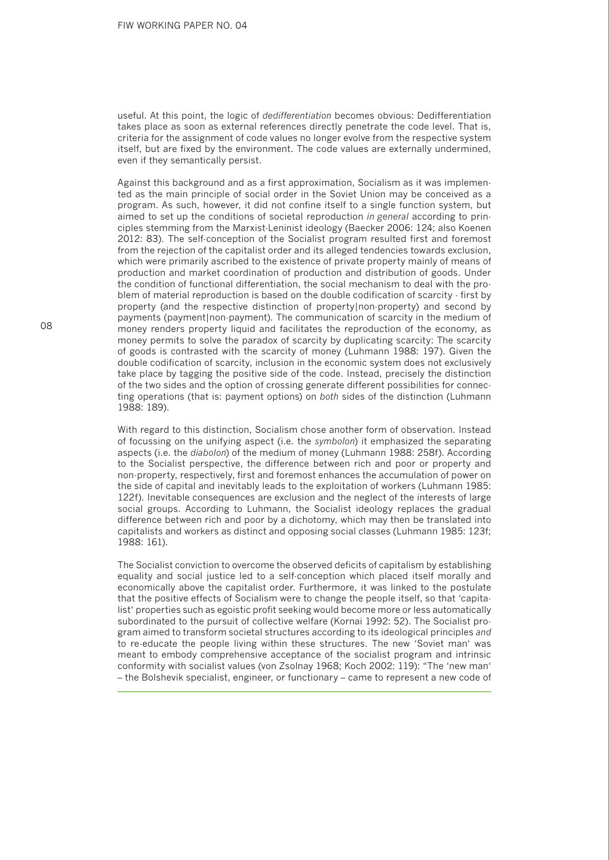useful. At this point, the logic of *dedifferentiation* becomes obvious: Dedifferentiation takes place as soon as external references directly penetrate the code level. That is, criteria for the assignment of code values no longer evolve from the respective system itself, but are fixed by the environment. The code values are externally undermined, even if they semantically persist.

Against this background and as a first approximation, Socialism as it was implemented as the main principle of social order in the Soviet Union may be conceived as a program. As such, however, it did not confine itself to a single function system, but aimed to set up the conditions of societal reproduction *in general* according to principles stemming from the Marxist-Leninist ideology (Baecker 2006: 124; also Koenen 2012: 83). The self-conception of the Socialist program resulted first and foremost from the rejection of the capitalist order and its alleged tendencies towards exclusion, which were primarily ascribed to the existence of private property mainly of means of production and market coordination of production and distribution of goods. Under the condition of functional differentiation, the social mechanism to deal with the problem of material reproduction is based on the double codification of scarcity - first by property (and the respective distinction of property|non-property) and second by payments (payment|non-payment). The communication of scarcity in the medium of money renders property liquid and facilitates the reproduction of the economy, as money permits to solve the paradox of scarcity by duplicating scarcity: The scarcity of goods is contrasted with the scarcity of money (Luhmann 1988: 197). Given the double codification of scarcity, inclusion in the economic system does not exclusively take place by tagging the positive side of the code. Instead, precisely the distinction of the two sides and the option of crossing generate different possibilities for connecting operations (that is: payment options) on *both* sides of the distinction (Luhmann 1988: 189).

With regard to this distinction, Socialism chose another form of observation. Instead of focussing on the unifying aspect (i.e. the *symbolon*) it emphasized the separating aspects (i.e. the *diabolon*) of the medium of money (Luhmann 1988: 258f). According to the Socialist perspective, the difference between rich and poor or property and non-property, respectively, first and foremost enhances the accumulation of power on the side of capital and inevitably leads to the exploitation of workers (Luhmann 1985: 122f). Inevitable consequences are exclusion and the neglect of the interests of large social groups. According to Luhmann, the Socialist ideology replaces the gradual difference between rich and poor by a dichotomy, which may then be translated into capitalists and workers as distinct and opposing social classes (Luhmann 1985: 123f; 1988: 161).

The Socialist conviction to overcome the observed deficits of capitalism by establishing equality and social justice led to a self-conception which placed itself morally and economically above the capitalist order. Furthermore, it was linked to the postulate that the positive effects of Socialism were to change the people itself, so that 'capitalist' properties such as egoistic profit seeking would become more or less automatically subordinated to the pursuit of collective welfare (Kornai 1992: 52). The Socialist program aimed to transform societal structures according to its ideological principles *and*  to re-educate the people living within these structures. The new 'Soviet man' was meant to embody comprehensive acceptance of the socialist program and intrinsic conformity with socialist values (von Zsolnay 1968; Koch 2002: 119): "The 'new man' – the Bolshevik specialist, engineer, or functionary – came to represent a new code of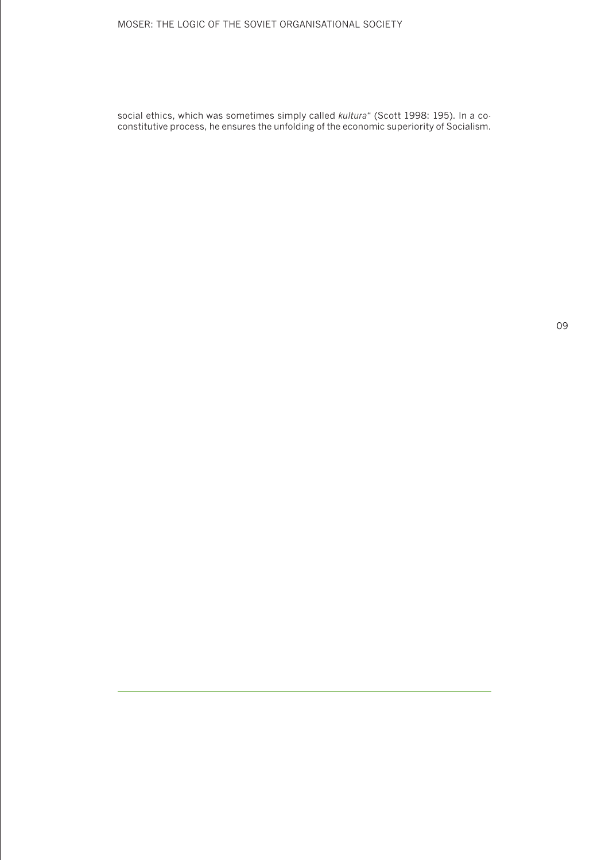#### MOSER: THE LOGIC OF THE SOVIET ORGANISATIONAL SOCIETY

social ethics, which was sometimes simply called *kultura*" (Scott 1998: 195). In a coconstitutive process, he ensures the unfolding of the economic superiority of Socialism.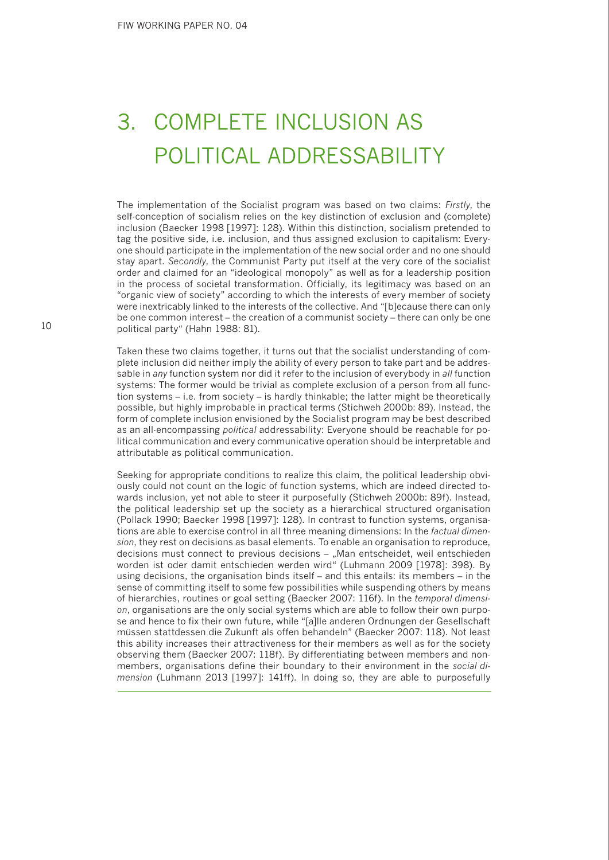## 3. COMPLETE INCLUSION AS POLITICAL ADDRESSABILITY

The implementation of the Socialist program was based on two claims: *Firstly*, the self-conception of socialism relies on the key distinction of exclusion and (complete) inclusion (Baecker 1998 [1997]: 128). Within this distinction, socialism pretended to tag the positive side, i.e. inclusion, and thus assigned exclusion to capitalism: Everyone should participate in the implementation of the new social order and no one should stay apart. *Secondly*, the Communist Party put itself at the very core of the socialist order and claimed for an "ideological monopoly" as well as for a leadership position in the process of societal transformation. Officially, its legitimacy was based on an "organic view of society" according to which the interests of every member of society were inextricably linked to the interests of the collective. And "[b]ecause there can only be one common interest – the creation of a communist society – there can only be one political party" (Hahn 1988: 81).

Taken these two claims together, it turns out that the socialist understanding of complete inclusion did neither imply the ability of every person to take part and be addressable in *any* function system nor did it refer to the inclusion of everybody in *all* function systems: The former would be trivial as complete exclusion of a person from all function systems – i.e. from society – is hardly thinkable; the latter might be theoretically possible, but highly improbable in practical terms (Stichweh 2000b: 89). Instead, the form of complete inclusion envisioned by the Socialist program may be best described as an all-encompassing *political* addressability: Everyone should be reachable for political communication and every communicative operation should be interpretable and attributable as political communication.

Seeking for appropriate conditions to realize this claim, the political leadership obviously could not count on the logic of function systems, which are indeed directed towards inclusion, yet not able to steer it purposefully (Stichweh 2000b: 89f). Instead, the political leadership set up the society as a hierarchical structured organisation (Pollack 1990; Baecker 1998 [1997]: 128). In contrast to function systems, organisations are able to exercise control in all three meaning dimensions: In the *factual dimension*, they rest on decisions as basal elements. To enable an organisation to reproduce, decisions must connect to previous decisions – "Man entscheidet, weil entschieden worden ist oder damit entschieden werden wird" (Luhmann 2009 [1978]: 398). By using decisions, the organisation binds itself – and this entails: its members – in the sense of committing itself to some few possibilities while suspending others by means of hierarchies, routines or goal setting (Baecker 2007: 116f). In the *temporal dimension*, organisations are the only social systems which are able to follow their own purpose and hence to fix their own future, while "[a]lle anderen Ordnungen der Gesellschaft müssen stattdessen die Zukunft als offen behandeln" (Baecker 2007: 118). Not least this ability increases their attractiveness for their members as well as for the society observing them (Baecker 2007: 118f). By differentiating between members and nonmembers, organisations define their boundary to their environment in the *social dimension* (Luhmann 2013 [1997]: 141ff). In doing so, they are able to purposefully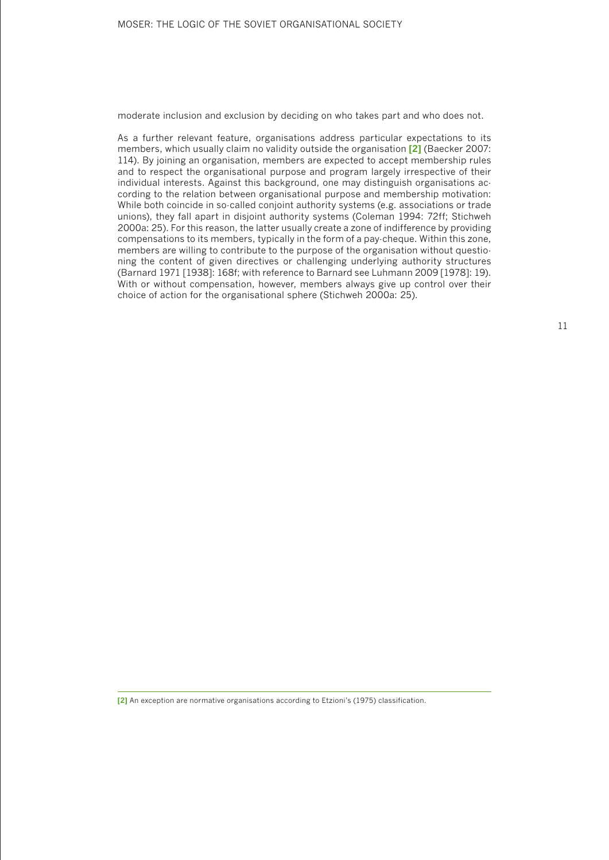moderate inclusion and exclusion by deciding on who takes part and who does not.

As a further relevant feature, organisations address particular expectations to its members, which usually claim no validity outside the organisation **[2]** (Baecker 2007: 114). By joining an organisation, members are expected to accept membership rules and to respect the organisational purpose and program largely irrespective of their individual interests. Against this background, one may distinguish organisations according to the relation between organisational purpose and membership motivation: While both coincide in so-called conjoint authority systems (e.g. associations or trade unions), they fall apart in disjoint authority systems (Coleman 1994: 72ff; Stichweh 2000a: 25). For this reason, the latter usually create a zone of indifference by providing compensations to its members, typically in the form of a pay-cheque. Within this zone, members are willing to contribute to the purpose of the organisation without questioning the content of given directives or challenging underlying authority structures (Barnard 1971 [1938]: 168f; with reference to Barnard see Luhmann 2009 [1978]: 19). With or without compensation, however, members always give up control over their choice of action for the organisational sphere (Stichweh 2000a: 25).

**[2]** An exception are normative organisations according to Etzioni's (1975) classification.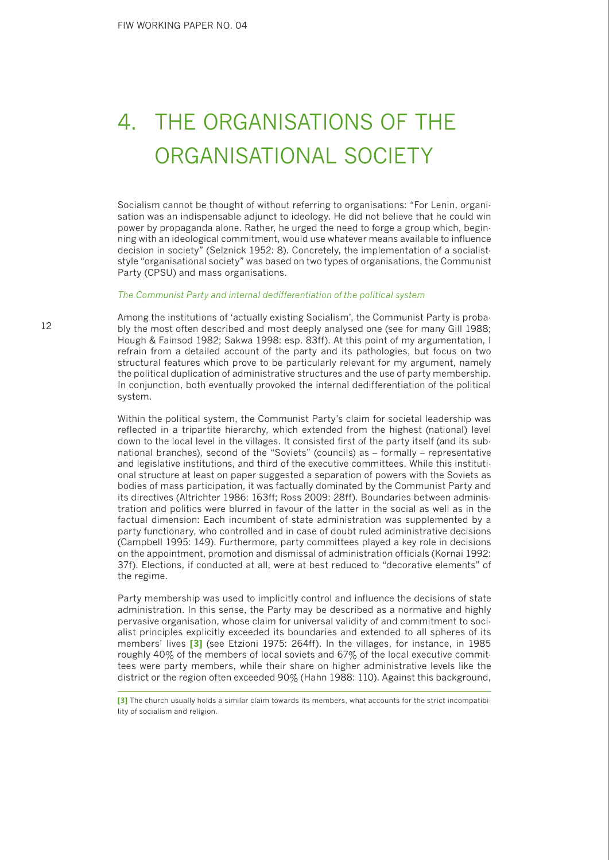## 4. THE ORGANISATIONS OF THE ORGANISATIONAL SOCIETY

Socialism cannot be thought of without referring to organisations: "For Lenin, organisation was an indispensable adjunct to ideology. He did not believe that he could win power by propaganda alone. Rather, he urged the need to forge a group which, beginning with an ideological commitment, would use whatever means available to influence decision in society" (Selznick 1952: 8). Concretely, the implementation of a socialiststyle "organisational society" was based on two types of organisations, the Communist Party (CPSU) and mass organisations.

#### *The Communist Party and internal dedifferentiation of the political system*

Among the institutions of 'actually existing Socialism', the Communist Party is probably the most often described and most deeply analysed one (see for many Gill 1988; Hough & Fainsod 1982; Sakwa 1998: esp. 83ff). At this point of my argumentation, I refrain from a detailed account of the party and its pathologies, but focus on two structural features which prove to be particularly relevant for my argument, namely the political duplication of administrative structures and the use of party membership. In conjunction, both eventually provoked the internal dedifferentiation of the political system.

Within the political system, the Communist Party's claim for societal leadership was reflected in a tripartite hierarchy, which extended from the highest (national) level down to the local level in the villages. It consisted first of the party itself (and its subnational branches), second of the "Soviets" (councils) as – formally – representative and legislative institutions, and third of the executive committees. While this institutional structure at least on paper suggested a separation of powers with the Soviets as bodies of mass participation, it was factually dominated by the Communist Party and its directives (Altrichter 1986: 163ff; Ross 2009: 28ff). Boundaries between administration and politics were blurred in favour of the latter in the social as well as in the factual dimension: Each incumbent of state administration was supplemented by a party functionary, who controlled and in case of doubt ruled administrative decisions (Campbell 1995: 149). Furthermore, party committees played a key role in decisions on the appointment, promotion and dismissal of administration officials (Kornai 1992: 37f). Elections, if conducted at all, were at best reduced to "decorative elements" of the regime.

Party membership was used to implicitly control and influence the decisions of state administration. In this sense, the Party may be described as a normative and highly pervasive organisation, whose claim for universal validity of and commitment to socialist principles explicitly exceeded its boundaries and extended to all spheres of its members' lives **[3]** (see Etzioni 1975: 264ff). In the villages, for instance, in 1985 roughly 40% of the members of local soviets and 67% of the local executive committees were party members, while their share on higher administrative levels like the district or the region often exceeded 90% (Hahn 1988: 110). Against this background,

**<sup>[3]</sup>** The church usually holds a similar claim towards its members, what accounts for the strict incompatibility of socialism and religion.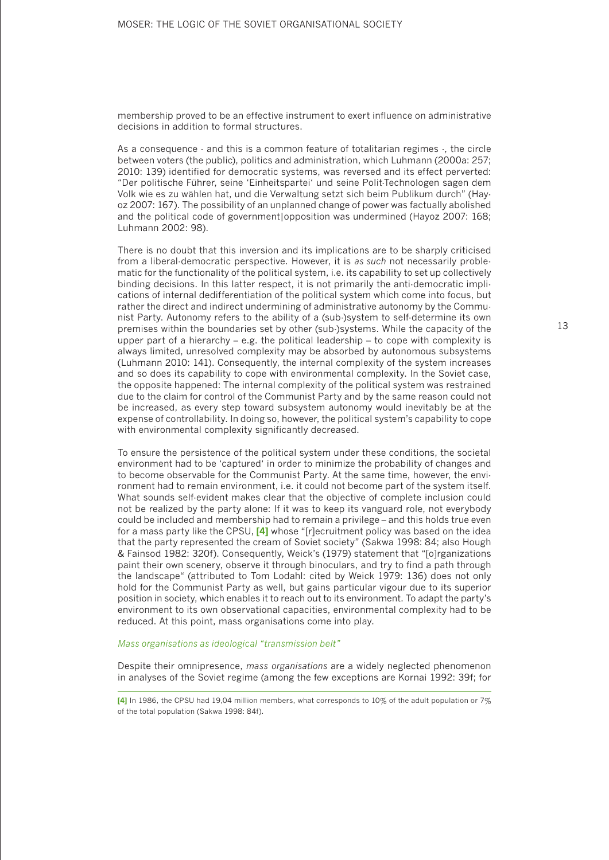membership proved to be an effective instrument to exert influence on administrative decisions in addition to formal structures.

As a consequence - and this is a common feature of totalitarian regimes -, the circle between voters (the public), politics and administration, which Luhmann (2000a: 257; 2010: 139) identified for democratic systems, was reversed and its effect perverted: "Der politische Führer, seine 'Einheitspartei' und seine Polit-Technologen sagen dem Volk wie es zu wählen hat, und die Verwaltung setzt sich beim Publikum durch" (Hayoz 2007: 167). The possibility of an unplanned change of power was factually abolished and the political code of government|opposition was undermined (Hayoz 2007: 168; Luhmann 2002: 98).

There is no doubt that this inversion and its implications are to be sharply criticised from a liberal-democratic perspective. However, it is *as such* not necessarily problematic for the functionality of the political system, i.e. its capability to set up collectively binding decisions. In this latter respect, it is not primarily the anti-democratic implications of internal dedifferentiation of the political system which come into focus, but rather the direct and indirect undermining of administrative autonomy by the Communist Party. Autonomy refers to the ability of a (sub-)system to self-determine its own premises within the boundaries set by other (sub-)systems. While the capacity of the upper part of a hierarchy – e.g. the political leadership – to cope with complexity is always limited, unresolved complexity may be absorbed by autonomous subsystems (Luhmann 2010: 141). Consequently, the internal complexity of the system increases and so does its capability to cope with environmental complexity. In the Soviet case, the opposite happened: The internal complexity of the political system was restrained due to the claim for control of the Communist Party and by the same reason could not be increased, as every step toward subsystem autonomy would inevitably be at the expense of controllability. In doing so, however, the political system's capability to cope with environmental complexity significantly decreased.

To ensure the persistence of the political system under these conditions, the societal environment had to be 'captured' in order to minimize the probability of changes and to become observable for the Communist Party. At the same time, however, the environment had to remain environment, i.e. it could not become part of the system itself. What sounds self-evident makes clear that the objective of complete inclusion could not be realized by the party alone: If it was to keep its vanguard role, not everybody could be included and membership had to remain a privilege – and this holds true even for a mass party like the CPSU, **[4]** whose "[r]ecruitment policy was based on the idea that the party represented the cream of Soviet society" (Sakwa 1998: 84; also Hough & Fainsod 1982: 320f). Consequently, Weick's (1979) statement that "[o]rganizations paint their own scenery, observe it through binoculars, and try to find a path through the landscape" (attributed to Tom Lodahl: cited by Weick 1979: 136) does not only hold for the Communist Party as well, but gains particular vigour due to its superior position in society, which enables it to reach out to its environment. To adapt the party's environment to its own observational capacities, environmental complexity had to be reduced. At this point, mass organisations come into play.

#### *Mass organisations as ideological "transmission belt"*

Despite their omnipresence, *mass organisations* are a widely neglected phenomenon in analyses of the Soviet regime (among the few exceptions are Kornai 1992: 39f; for

**<sup>[4]</sup>** In 1986, the CPSU had 19,04 million members, what corresponds to 10% of the adult population or 7% of the total population (Sakwa 1998: 84f).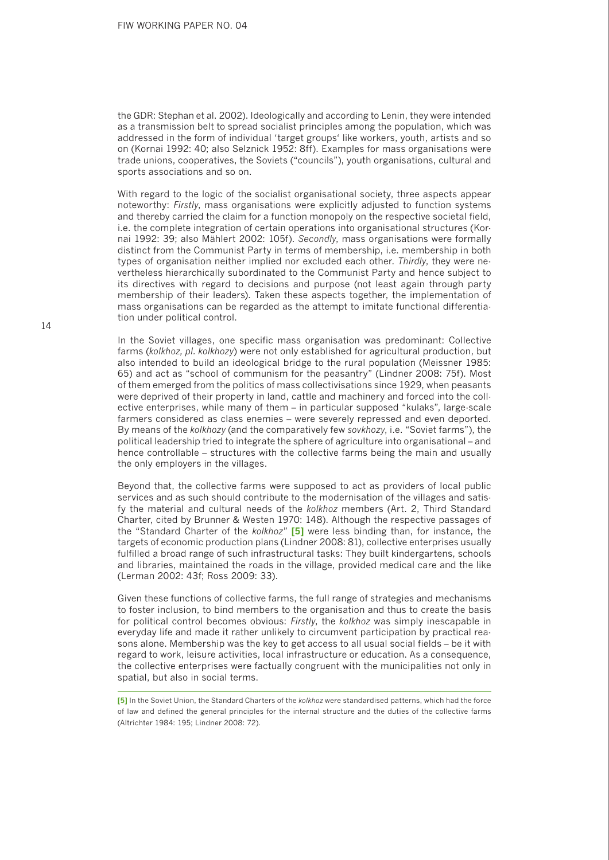the GDR: Stephan et al. 2002). Ideologically and according to Lenin, they were intended as a transmission belt to spread socialist principles among the population, which was addressed in the form of individual 'target groups' like workers, youth, artists and so on (Kornai 1992: 40; also Selznick 1952: 8ff). Examples for mass organisations were trade unions, cooperatives, the Soviets ("councils"), youth organisations, cultural and sports associations and so on.

With regard to the logic of the socialist organisational society, three aspects appear noteworthy: *Firstly*, mass organisations were explicitly adjusted to function systems and thereby carried the claim for a function monopoly on the respective societal field, i.e. the complete integration of certain operations into organisational structures (Kornai 1992: 39; also Mählert 2002: 105f). *Secondly*, mass organisations were formally distinct from the Communist Party in terms of membership, i.e. membership in both types of organisation neither implied nor excluded each other. *Thirdly*, they were nevertheless hierarchically subordinated to the Communist Party and hence subject to its directives with regard to decisions and purpose (not least again through party membership of their leaders). Taken these aspects together, the implementation of mass organisations can be regarded as the attempt to imitate functional differentiation under political control.

In the Soviet villages, one specific mass organisation was predominant: Collective farms (*kolkhoz, pl. kolkhozy*) were not only established for agricultural production, but also intended to build an ideological bridge to the rural population (Meissner 1985: 65) and act as "school of communism for the peasantry" (Lindner 2008: 75f). Most of them emerged from the politics of mass collectivisations since 1929, when peasants were deprived of their property in land, cattle and machinery and forced into the collective enterprises, while many of them – in particular supposed "kulaks", large-scale farmers considered as class enemies – were severely repressed and even deported. By means of the *kolkhozy* (and the comparatively few *sovkhozy*, i.e. "Soviet farms"), the political leadership tried to integrate the sphere of agriculture into organisational – and hence controllable – structures with the collective farms being the main and usually the only employers in the villages.

Beyond that, the collective farms were supposed to act as providers of local public services and as such should contribute to the modernisation of the villages and satisfy the material and cultural needs of the *kolkhoz* members (Art. 2, Third Standard Charter, cited by Brunner & Westen 1970: 148). Although the respective passages of the "Standard Charter of the *kolkhoz*" **[5]** were less binding than, for instance, the targets of economic production plans (Lindner 2008: 81), collective enterprises usually fulfilled a broad range of such infrastructural tasks: They built kindergartens, schools and libraries, maintained the roads in the village, provided medical care and the like (Lerman 2002: 43f; Ross 2009: 33).

Given these functions of collective farms, the full range of strategies and mechanisms to foster inclusion, to bind members to the organisation and thus to create the basis for political control becomes obvious: *Firstly*, the *kolkhoz* was simply inescapable in everyday life and made it rather unlikely to circumvent participation by practical reasons alone. Membership was the key to get access to all usual social fields – be it with regard to work, leisure activities, local infrastructure or education. As a consequence, the collective enterprises were factually congruent with the municipalities not only in spatial, but also in social terms.

**<sup>[5]</sup>** In the Soviet Union, the Standard Charters of the *kolkhoz* were standardised patterns, which had the force of law and defined the general principles for the internal structure and the duties of the collective farms (Altrichter 1984: 195; Lindner 2008: 72).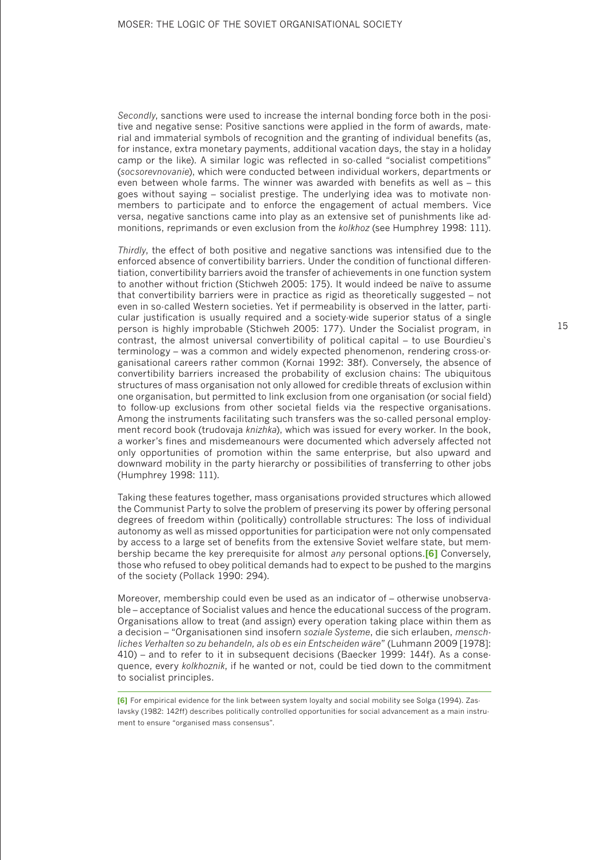*Secondly*, sanctions were used to increase the internal bonding force both in the positive and negative sense: Positive sanctions were applied in the form of awards, material and immaterial symbols of recognition and the granting of individual benefits (as, for instance, extra monetary payments, additional vacation days, the stay in a holiday camp or the like). A similar logic was reflected in so-called "socialist competitions" (*socsorevnovanie*), which were conducted between individual workers, departments or even between whole farms. The winner was awarded with benefits as well as – this goes without saying – socialist prestige. The underlying idea was to motivate nonmembers to participate and to enforce the engagement of actual members. Vice versa, negative sanctions came into play as an extensive set of punishments like admonitions, reprimands or even exclusion from the *kolkhoz* (see Humphrey 1998: 111).

*Thirdly*, the effect of both positive and negative sanctions was intensified due to the enforced absence of convertibility barriers. Under the condition of functional differentiation, convertibility barriers avoid the transfer of achievements in one function system to another without friction (Stichweh 2005: 175). It would indeed be naïve to assume that convertibility barriers were in practice as rigid as theoretically suggested – not even in so-called Western societies. Yet if permeability is observed in the latter, particular justification is usually required and a society-wide superior status of a single person is highly improbable (Stichweh 2005: 177). Under the Socialist program, in contrast, the almost universal convertibility of political capital – to use Bourdieu`s terminology – was a common and widely expected phenomenon, rendering cross-organisational careers rather common (Kornai 1992: 38f). Conversely, the absence of convertibility barriers increased the probability of exclusion chains: The ubiquitous structures of mass organisation not only allowed for credible threats of exclusion within one organisation, but permitted to link exclusion from one organisation (or social field) to follow-up exclusions from other societal fields via the respective organisations. Among the instruments facilitating such transfers was the so-called personal employment record book (trudovaja *knizhka*), which was issued for every worker. In the book, a worker's fines and misdemeanours were documented which adversely affected not only opportunities of promotion within the same enterprise, but also upward and downward mobility in the party hierarchy or possibilities of transferring to other jobs (Humphrey 1998: 111).

Taking these features together, mass organisations provided structures which allowed the Communist Party to solve the problem of preserving its power by offering personal degrees of freedom within (politically) controllable structures: The loss of individual autonomy as well as missed opportunities for participation were not only compensated by access to a large set of benefits from the extensive Soviet welfare state, but membership became the key prerequisite for almost *any* personal options.**[6]** Conversely, those who refused to obey political demands had to expect to be pushed to the margins of the society (Pollack 1990: 294).

Moreover, membership could even be used as an indicator of – otherwise unobservable – acceptance of Socialist values and hence the educational success of the program. Organisations allow to treat (and assign) every operation taking place within them as a decision – "Organisationen sind insofern *soziale Systeme*, die sich erlauben, *menschliches Verhalten so zu behandeln, als ob es ein Entscheiden wäre*" (Luhmann 2009 [1978]: 410) – and to refer to it in subsequent decisions (Baecker 1999: 144f). As a consequence, every *kolkhoznik*, if he wanted or not, could be tied down to the commitment to socialist principles.

**<sup>[6]</sup>** For empirical evidence for the link between system loyalty and social mobility see Solga (1994). Zaslavsky (1982: 142ff) describes politically controlled opportunities for social advancement as a main instrument to ensure "organised mass consensus".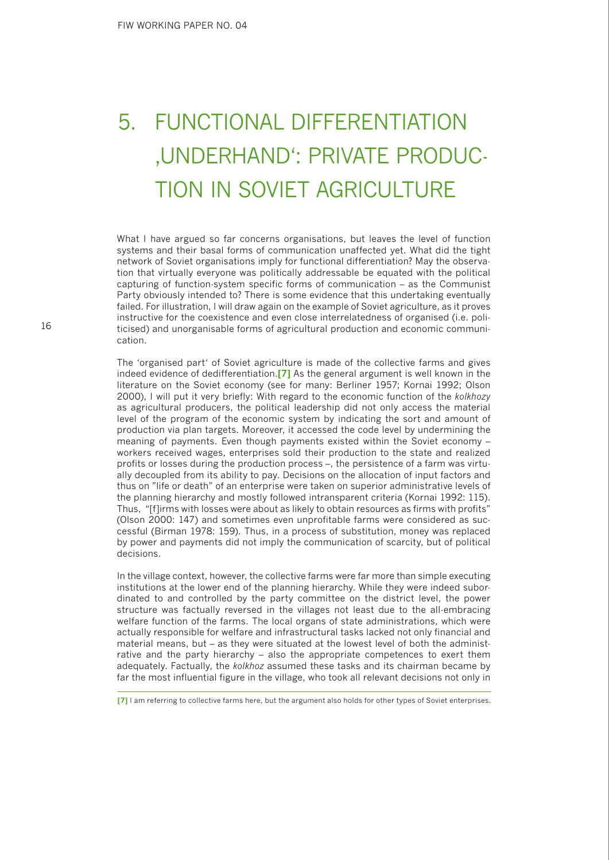# 5. FUNCTIONAL DIFFERENTIATION 'UNDERHAND': PRIVATE PRODUC-TION IN SOVIET AGRICULTURE

What I have argued so far concerns organisations, but leaves the level of function systems and their basal forms of communication unaffected yet. What did the tight network of Soviet organisations imply for functional differentiation? May the observation that virtually everyone was politically addressable be equated with the political capturing of function-system specific forms of communication – as the Communist Party obviously intended to? There is some evidence that this undertaking eventually failed. For illustration, I will draw again on the example of Soviet agriculture, as it proves instructive for the coexistence and even close interrelatedness of organised (i.e. politicised) and unorganisable forms of agricultural production and economic communication.

The 'organised part' of Soviet agriculture is made of the collective farms and gives indeed evidence of dedifferentiation.**[7]** As the general argument is well known in the literature on the Soviet economy (see for many: Berliner 1957; Kornai 1992; Olson 2000), I will put it very briefly: With regard to the economic function of the *kolkhozy* as agricultural producers, the political leadership did not only access the material level of the program of the economic system by indicating the sort and amount of production via plan targets. Moreover, it accessed the code level by undermining the meaning of payments. Even though payments existed within the Soviet economy – workers received wages, enterprises sold their production to the state and realized profits or losses during the production process –, the persistence of a farm was virtually decoupled from its ability to pay. Decisions on the allocation of input factors and thus on "life or death" of an enterprise were taken on superior administrative levels of the planning hierarchy and mostly followed intransparent criteria (Kornai 1992: 115). Thus, "[f]irms with losses were about as likely to obtain resources as firms with profits" (Olson 2000: 147) and sometimes even unprofitable farms were considered as successful (Birman 1978: 159). Thus, in a process of substitution, money was replaced by power and payments did not imply the communication of scarcity, but of political decisions.

In the village context, however, the collective farms were far more than simple executing institutions at the lower end of the planning hierarchy. While they were indeed subordinated to and controlled by the party committee on the district level, the power structure was factually reversed in the villages not least due to the all-embracing welfare function of the farms. The local organs of state administrations, which were actually responsible for welfare and infrastructural tasks lacked not only financial and material means, but – as they were situated at the lowest level of both the administrative and the party hierarchy – also the appropriate competences to exert them adequately. Factually, the *kolkhoz* assumed these tasks and its chairman became by far the most influential figure in the village, who took all relevant decisions not only in

**<sup>[7]</sup>** I am referring to collective farms here, but the argument also holds for other types of Soviet enterprises.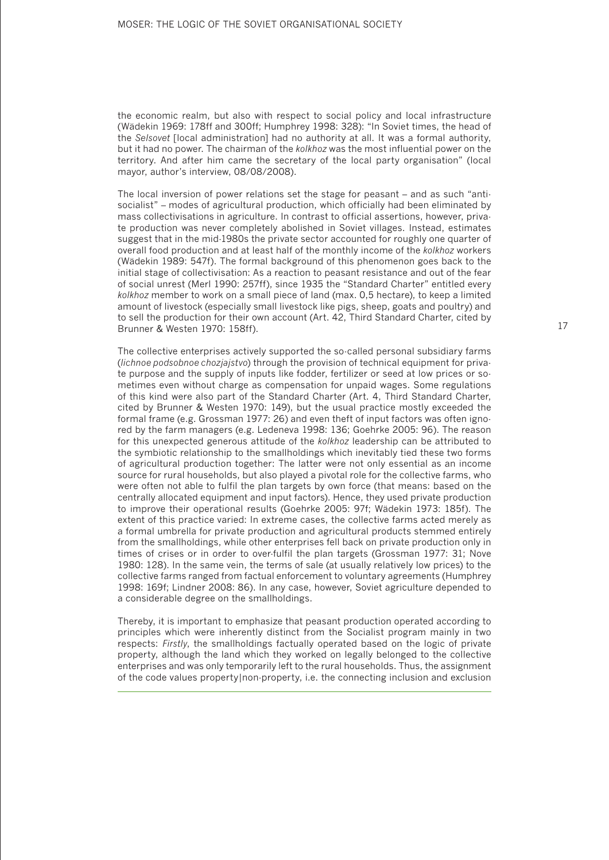the economic realm, but also with respect to social policy and local infrastructure (Wädekin 1969: 178ff and 300ff; Humphrey 1998: 328): "In Soviet times, the head of the *Selsovet* [local administration] had no authority at all. It was a formal authority, but it had no power. The chairman of the *kolkhoz* was the most influential power on the territory. And after him came the secretary of the local party organisation" (local mayor, author's interview, 08/08/2008).

The local inversion of power relations set the stage for peasant – and as such "antisocialist" – modes of agricultural production, which officially had been eliminated by mass collectivisations in agriculture. In contrast to official assertions, however, private production was never completely abolished in Soviet villages. Instead, estimates suggest that in the mid-1980s the private sector accounted for roughly one quarter of overall food production and at least half of the monthly income of the *kolkhoz* workers (Wädekin 1989: 547f). The formal background of this phenomenon goes back to the initial stage of collectivisation: As a reaction to peasant resistance and out of the fear of social unrest (Merl 1990: 257ff), since 1935 the "Standard Charter" entitled every *kolkhoz* member to work on a small piece of land (max. 0,5 hectare), to keep a limited amount of livestock (especially small livestock like pigs, sheep, goats and poultry) and to sell the production for their own account (Art. 42, Third Standard Charter, cited by Brunner & Westen 1970: 158ff).

The collective enterprises actively supported the so-called personal subsidiary farms (*lichnoe podsobnoe chozjajstvo*) through the provision of technical equipment for private purpose and the supply of inputs like fodder, fertilizer or seed at low prices or sometimes even without charge as compensation for unpaid wages. Some regulations of this kind were also part of the Standard Charter (Art. 4, Third Standard Charter, cited by Brunner & Westen 1970: 149), but the usual practice mostly exceeded the formal frame (e.g. Grossman 1977: 26) and even theft of input factors was often ignored by the farm managers (e.g. Ledeneva 1998: 136; Goehrke 2005: 96). The reason for this unexpected generous attitude of the *kolkhoz* leadership can be attributed to the symbiotic relationship to the smallholdings which inevitably tied these two forms of agricultural production together: The latter were not only essential as an income source for rural households, but also played a pivotal role for the collective farms, who were often not able to fulfil the plan targets by own force (that means: based on the centrally allocated equipment and input factors). Hence, they used private production to improve their operational results (Goehrke 2005: 97f; Wädekin 1973: 185f). The extent of this practice varied: In extreme cases, the collective farms acted merely as a formal umbrella for private production and agricultural products stemmed entirely from the smallholdings, while other enterprises fell back on private production only in times of crises or in order to over-fulfil the plan targets (Grossman 1977: 31; Nove 1980: 128). In the same vein, the terms of sale (at usually relatively low prices) to the collective farms ranged from factual enforcement to voluntary agreements (Humphrey 1998: 169f; Lindner 2008: 86). In any case, however, Soviet agriculture depended to a considerable degree on the smallholdings.

Thereby, it is important to emphasize that peasant production operated according to principles which were inherently distinct from the Socialist program mainly in two respects: *Firstly*, the smallholdings factually operated based on the logic of private property, although the land which they worked on legally belonged to the collective enterprises and was only temporarily left to the rural households. Thus, the assignment of the code values property|non-property, i.e. the connecting inclusion and exclusion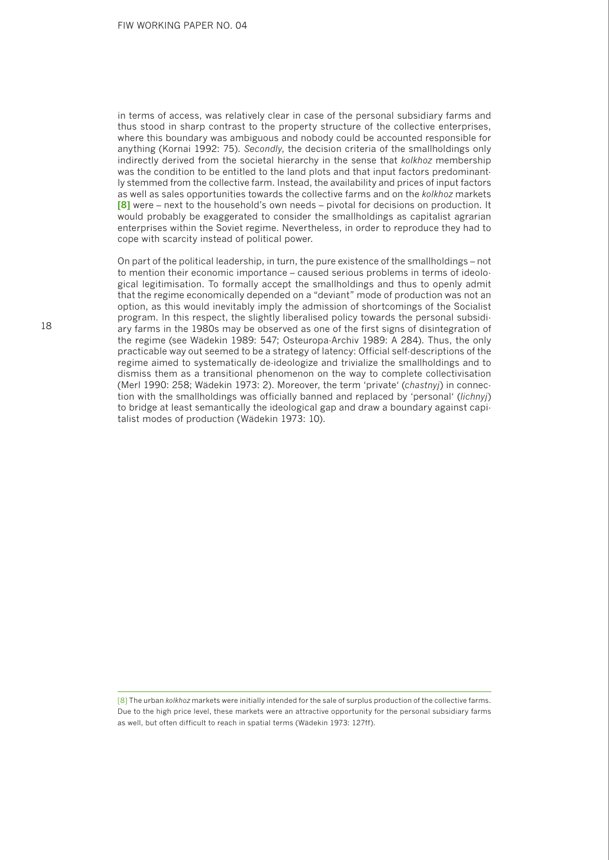in terms of access, was relatively clear in case of the personal subsidiary farms and thus stood in sharp contrast to the property structure of the collective enterprises, where this boundary was ambiguous and nobody could be accounted responsible for anything (Kornai 1992: 75). *Secondly*, the decision criteria of the smallholdings only indirectly derived from the societal hierarchy in the sense that *kolkhoz* membership was the condition to be entitled to the land plots and that input factors predominantly stemmed from the collective farm. Instead, the availability and prices of input factors as well as sales opportunities towards the collective farms and on the *kolkhoz* markets **[8]** were – next to the household's own needs – pivotal for decisions on production. It would probably be exaggerated to consider the smallholdings as capitalist agrarian enterprises within the Soviet regime. Nevertheless, in order to reproduce they had to cope with scarcity instead of political power.

On part of the political leadership, in turn, the pure existence of the smallholdings – not to mention their economic importance – caused serious problems in terms of ideological legitimisation. To formally accept the smallholdings and thus to openly admit that the regime economically depended on a "deviant" mode of production was not an option, as this would inevitably imply the admission of shortcomings of the Socialist program. In this respect, the slightly liberalised policy towards the personal subsidiary farms in the 1980s may be observed as one of the first signs of disintegration of the regime (see Wädekin 1989: 547; Osteuropa-Archiv 1989: A 284). Thus, the only practicable way out seemed to be a strategy of latency: Official self-descriptions of the regime aimed to systematically de-ideologize and trivialize the smallholdings and to dismiss them as a transitional phenomenon on the way to complete collectivisation (Merl 1990: 258; Wädekin 1973: 2). Moreover, the term 'private' (*chastnyj*) in connection with the smallholdings was officially banned and replaced by 'personal' (*lichnyj*) to bridge at least semantically the ideological gap and draw a boundary against capitalist modes of production (Wädekin 1973: 10).

[8] The urban *kolkhoz* markets were initially intended for the sale of surplus production of the collective farms. Due to the high price level, these markets were an attractive opportunity for the personal subsidiary farms as well, but often difficult to reach in spatial terms (Wädekin 1973: 127ff).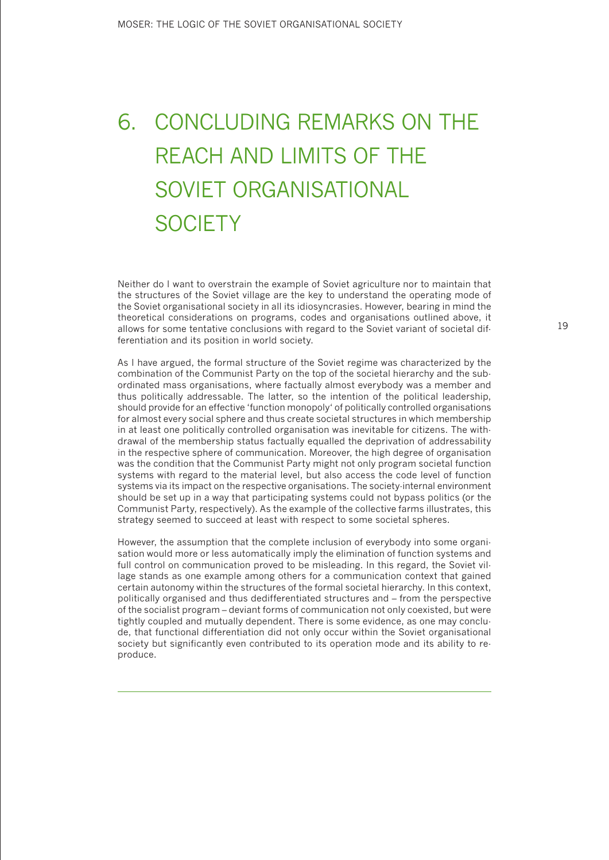# 6. CONCLUDING REMARKS ON THE REACH AND LIMITS OF THE SOVIET ORGANISATIONAL **SOCIETY**

Neither do I want to overstrain the example of Soviet agriculture nor to maintain that the structures of the Soviet village are the key to understand the operating mode of the Soviet organisational society in all its idiosyncrasies. However, bearing in mind the theoretical considerations on programs, codes and organisations outlined above, it allows for some tentative conclusions with regard to the Soviet variant of societal differentiation and its position in world society.

As I have argued, the formal structure of the Soviet regime was characterized by the combination of the Communist Party on the top of the societal hierarchy and the subordinated mass organisations, where factually almost everybody was a member and thus politically addressable. The latter, so the intention of the political leadership, should provide for an effective 'function monopoly' of politically controlled organisations for almost every social sphere and thus create societal structures in which membership in at least one politically controlled organisation was inevitable for citizens. The withdrawal of the membership status factually equalled the deprivation of addressability in the respective sphere of communication. Moreover, the high degree of organisation was the condition that the Communist Party might not only program societal function systems with regard to the material level, but also access the code level of function systems via its impact on the respective organisations. The society-internal environment should be set up in a way that participating systems could not bypass politics (or the Communist Party, respectively). As the example of the collective farms illustrates, this strategy seemed to succeed at least with respect to some societal spheres.

However, the assumption that the complete inclusion of everybody into some organisation would more or less automatically imply the elimination of function systems and full control on communication proved to be misleading. In this regard, the Soviet village stands as one example among others for a communication context that gained certain autonomy within the structures of the formal societal hierarchy. In this context, politically organised and thus dedifferentiated structures and – from the perspective of the socialist program – deviant forms of communication not only coexisted, but were tightly coupled and mutually dependent. There is some evidence, as one may conclude, that functional differentiation did not only occur within the Soviet organisational society but significantly even contributed to its operation mode and its ability to reproduce.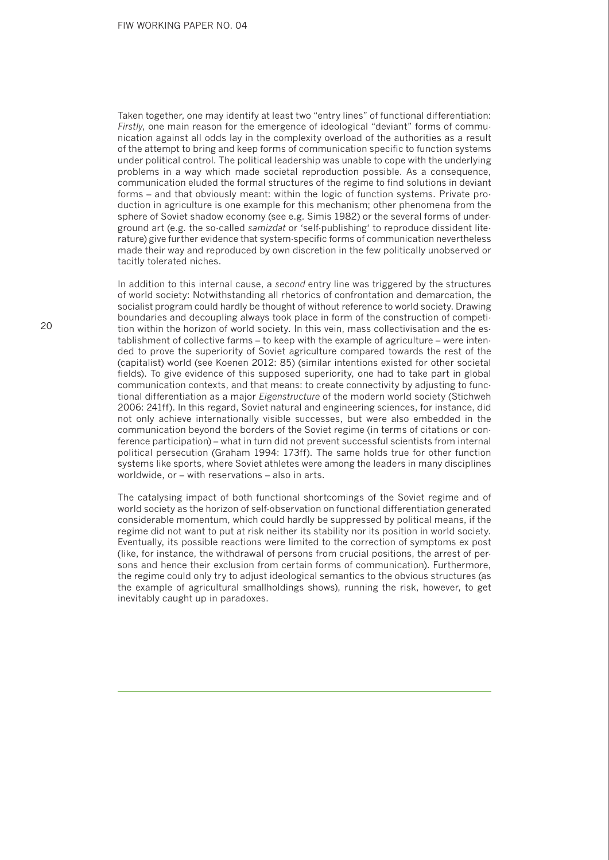Taken together, one may identify at least two "entry lines" of functional differentiation: *Firstly*, one main reason for the emergence of ideological "deviant" forms of communication against all odds lay in the complexity overload of the authorities as a result of the attempt to bring and keep forms of communication specific to function systems under political control. The political leadership was unable to cope with the underlying problems in a way which made societal reproduction possible. As a consequence, communication eluded the formal structures of the regime to find solutions in deviant forms – and that obviously meant: within the logic of function systems. Private production in agriculture is one example for this mechanism; other phenomena from the sphere of Soviet shadow economy (see e.g. Simis 1982) or the several forms of underground art (e.g. the so-called *samizdat* or 'self-publishing' to reproduce dissident literature) give further evidence that system-specific forms of communication nevertheless made their way and reproduced by own discretion in the few politically unobserved or tacitly tolerated niches.

In addition to this internal cause, a *second* entry line was triggered by the structures of world society: Notwithstanding all rhetorics of confrontation and demarcation, the socialist program could hardly be thought of without reference to world society. Drawing boundaries and decoupling always took place in form of the construction of competition within the horizon of world society. In this vein, mass collectivisation and the establishment of collective farms – to keep with the example of agriculture – were intended to prove the superiority of Soviet agriculture compared towards the rest of the (capitalist) world (see Koenen 2012: 85) (similar intentions existed for other societal fields). To give evidence of this supposed superiority, one had to take part in global communication contexts, and that means: to create connectivity by adjusting to functional differentiation as a major *Eigenstructure* of the modern world society (Stichweh 2006: 241ff). In this regard, Soviet natural and engineering sciences, for instance, did not only achieve internationally visible successes, but were also embedded in the communication beyond the borders of the Soviet regime (in terms of citations or conference participation) – what in turn did not prevent successful scientists from internal political persecution (Graham 1994: 173ff). The same holds true for other function systems like sports, where Soviet athletes were among the leaders in many disciplines worldwide, or – with reservations – also in arts.

The catalysing impact of both functional shortcomings of the Soviet regime and of world society as the horizon of self-observation on functional differentiation generated considerable momentum, which could hardly be suppressed by political means, if the regime did not want to put at risk neither its stability nor its position in world society. Eventually, its possible reactions were limited to the correction of symptoms ex post (like, for instance, the withdrawal of persons from crucial positions, the arrest of persons and hence their exclusion from certain forms of communication). Furthermore, the regime could only try to adjust ideological semantics to the obvious structures (as the example of agricultural smallholdings shows), running the risk, however, to get inevitably caught up in paradoxes.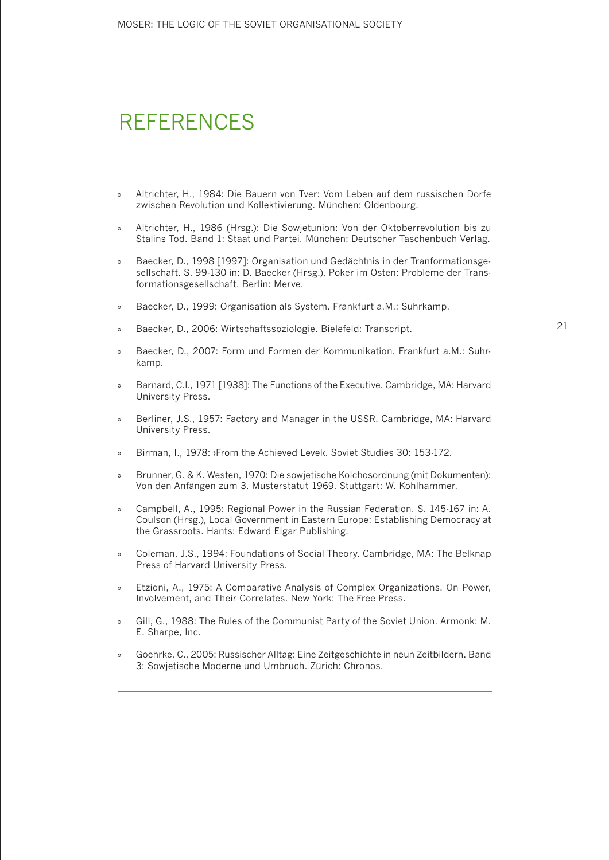#### REFERENCES

- » Altrichter, H., 1984: Die Bauern von Tver: Vom Leben auf dem russischen Dorfe zwischen Revolution und Kollektivierung. München: Oldenbourg.
- » Altrichter, H., 1986 (Hrsg.): Die Sowjetunion: Von der Oktoberrevolution bis zu Stalins Tod. Band 1: Staat und Partei. München: Deutscher Taschenbuch Verlag.
- » Baecker, D., 1998 [1997]: Organisation und Gedächtnis in der Tranformationsgesellschaft. S. 99-130 in: D. Baecker (Hrsg.), Poker im Osten: Probleme der Transformationsgesellschaft. Berlin: Merve.
- » Baecker, D., 1999: Organisation als System. Frankfurt a.M.: Suhrkamp.
- » Baecker, D., 2006: Wirtschaftssoziologie. Bielefeld: Transcript.
- » Baecker, D., 2007: Form und Formen der Kommunikation. Frankfurt a.M.: Suhrkamp.
- » Barnard, C.I., 1971 [1938]: The Functions of the Executive. Cambridge, MA: Harvard University Press.
- » Berliner, J.S., 1957: Factory and Manager in the USSR. Cambridge, MA: Harvard University Press.
- Birman, I., 1978: >From the Achieved Level<br />
Level<br />
Soviet Studies 30: 153-172.
- » Brunner, G. & K. Westen, 1970: Die sowjetische Kolchosordnung (mit Dokumenten): Von den Anfängen zum 3. Musterstatut 1969. Stuttgart: W. Kohlhammer.
- » Campbell, A., 1995: Regional Power in the Russian Federation. S. 145-167 in: A. Coulson (Hrsg.), Local Government in Eastern Europe: Establishing Democracy at the Grassroots. Hants: Edward Elgar Publishing.
- » Coleman, J.S., 1994: Foundations of Social Theory. Cambridge, MA: The Belknap Press of Harvard University Press.
- » Etzioni, A., 1975: A Comparative Analysis of Complex Organizations. On Power, Involvement, and Their Correlates. New York: The Free Press.
- » Gill, G., 1988: The Rules of the Communist Party of the Soviet Union. Armonk: M. E. Sharpe, Inc.
- » Goehrke, C., 2005: Russischer Alltag: Eine Zeitgeschichte in neun Zeitbildern. Band 3: Sowjetische Moderne und Umbruch. Zürich: Chronos.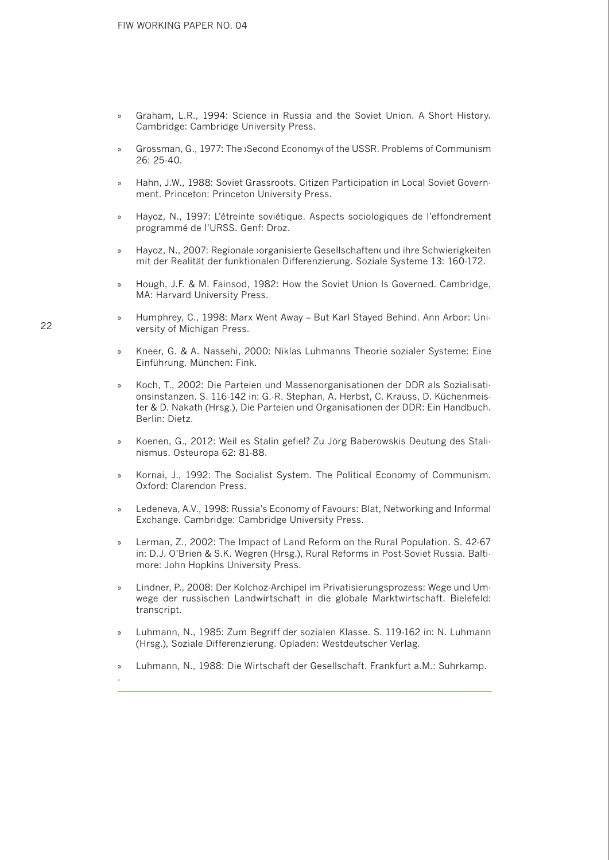- » Graham, L.R., 1994: Science in Russia and the Soviet Union. A Short History. Cambridge: Cambridge University Press.
- » Grossman, G., 1977: The ›Second Economy‹ of the USSR. Problems of Communism 26: 25-40.
- » Hahn, J.W., 1988: Soviet Grassroots. Citizen Participation in Local Soviet Government. Princeton: Princeton University Press.
- Hayoz, N., 1997: L'étreinte soviétique. Aspects sociologiques de l'effondrement programmé de l'URSS. Genf: Droz.
- » Hayoz, N., 2007: Regionale ›organisierte Gesellschaften‹ und ihre Schwierigkeiten mit der Realität der funktionalen Differenzierung. Soziale Systeme 13: 160-172.
- » Hough, J.F. & M. Fainsod, 1982: How the Soviet Union Is Governed. Cambridge, MA: Harvard University Press.
- » Humphrey, C., 1998: Marx Went Away But Karl Stayed Behind. Ann Arbor: University of Michigan Press.
- » Kneer, G. & A. Nassehi, 2000: Niklas Luhmanns Theorie sozialer Systeme: Eine Einführung. München: Fink.
- » Koch, T., 2002: Die Parteien und Massenorganisationen der DDR als Sozialisationsinstanzen. S. 116-142 in: G.-R. Stephan, A. Herbst, C. Krauss, D. Küchenmeister & D. Nakath (Hrsg.), Die Parteien und Organisationen der DDR: Ein Handbuch. Berlin: Dietz.
- » Koenen, G., 2012: Weil es Stalin gefiel? Zu Jörg Baberowskis Deutung des Stalinismus. Osteuropa 62: 81-88.
- » Kornai, J., 1992: The Socialist System. The Political Economy of Communism. Oxford: Clarendon Press.
- » Ledeneva, A.V., 1998: Russia's Economy of Favours: Blat, Networking and Informal Exchange. Cambridge: Cambridge University Press.
- » Lerman, Z., 2002: The Impact of Land Reform on the Rural Population. S. 42-67 in: D.J. O'Brien & S.K. Wegren (Hrsg.), Rural Reforms in Post-Soviet Russia. Baltimore: John Hopkins University Press.
- » Lindner, P., 2008: Der Kolchoz-Archipel im Privatisierungsprozess: Wege und Umwege der russischen Landwirtschaft in die globale Marktwirtschaft. Bielefeld: transcript.
- » Luhmann, N., 1985: Zum Begriff der sozialen Klasse. S. 119-162 in: N. Luhmann (Hrsg.), Soziale Differenzierung. Opladen: Westdeutscher Verlag.
- » Luhmann, N., 1988: Die Wirtschaft der Gesellschaft. Frankfurt a.M.: Suhrkamp.

22

.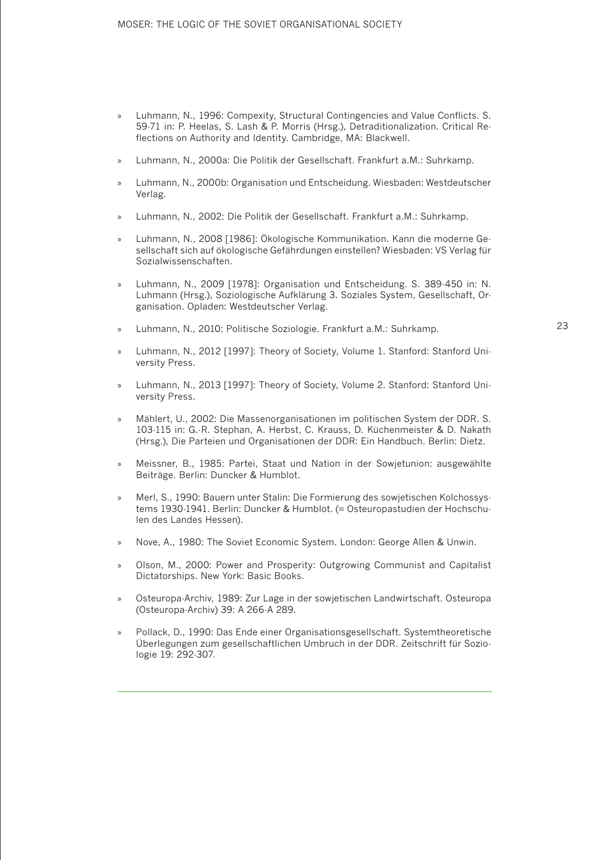- » Luhmann, N., 1996: Compexity, Structural Contingencies and Value Conflicts. S. 59-71 in: P. Heelas, S. Lash & P. Morris (Hrsg.), Detraditionalization. Critical Reflections on Authority and Identity. Cambridge, MA: Blackwell.
- » Luhmann, N., 2000a: Die Politik der Gesellschaft. Frankfurt a.M.: Suhrkamp.
- » Luhmann, N., 2000b: Organisation und Entscheidung. Wiesbaden: Westdeutscher Verlag.
- Luhmann, N., 2002: Die Politik der Gesellschaft. Frankfurt a.M.: Suhrkamp.
- » Luhmann, N., 2008 [1986]: Ökologische Kommunikation. Kann die moderne Gesellschaft sich auf ökologische Gefährdungen einstellen? Wiesbaden: VS Verlag für Sozialwissenschaften.
- » Luhmann, N., 2009 [1978]: Organisation und Entscheidung. S. 389-450 in: N. Luhmann (Hrsg.), Soziologische Aufklärung 3. Soziales System, Gesellschaft, Organisation. Opladen: Westdeutscher Verlag.
- Luhmann, N., 2010: Politische Soziologie. Frankfurt a.M.: Suhrkamp.
- » Luhmann, N., 2012 [1997]: Theory of Society, Volume 1. Stanford: Stanford University Press.
- » Luhmann, N., 2013 [1997]: Theory of Society, Volume 2. Stanford: Stanford University Press.
- » Mählert, U., 2002: Die Massenorganisationen im politischen System der DDR. S. 103-115 in: G.-R. Stephan, A. Herbst, C. Krauss, D. Küchenmeister & D. Nakath (Hrsg.), Die Parteien und Organisationen der DDR: Ein Handbuch. Berlin: Dietz.
- » Meissner, B., 1985: Partei, Staat und Nation in der Sowjetunion: ausgewählte Beiträge. Berlin: Duncker & Humblot.
- » Merl, S., 1990: Bauern unter Stalin: Die Formierung des sowjetischen Kolchossystems 1930-1941. Berlin: Duncker & Humblot. (= Osteuropastudien der Hochschulen des Landes Hessen).
- » Nove, A., 1980: The Soviet Economic System. London: George Allen & Unwin.
- » Olson, M., 2000: Power and Prosperity: Outgrowing Communist and Capitalist Dictatorships. New York: Basic Books.
- » Osteuropa-Archiv, 1989: Zur Lage in der sowjetischen Landwirtschaft. Osteuropa (Osteuropa-Archiv) 39: A 266-A 289.
- » Pollack, D., 1990: Das Ende einer Organisationsgesellschaft. Systemtheoretische Überlegungen zum gesellschaftlichen Umbruch in der DDR. Zeitschrift für Soziologie 19: 292-307.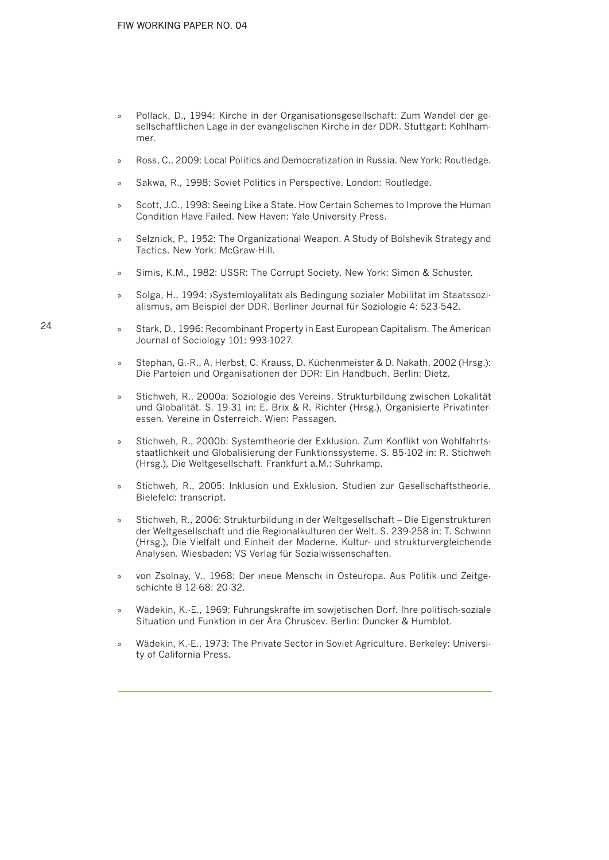- » Pollack, D., 1994: Kirche in der Organisationsgesellschaft: Zum Wandel der gesellschaftlichen Lage in der evangelischen Kirche in der DDR. Stuttgart: Kohlhammer.
- » Ross, C., 2009: Local Politics and Democratization in Russia. New York: Routledge.
- Sakwa, R., 1998: Soviet Politics in Perspective. London: Routledge.
- Scott, J.C., 1998: Seeing Like a State. How Certain Schemes to Improve the Human Condition Have Failed. New Haven: Yale University Press.
- Selznick, P., 1952: The Organizational Weapon. A Study of Bolshevik Strategy and Tactics. New York: McGraw-Hill.
- » Simis, K.M., 1982: USSR: The Corrupt Society. New York: Simon & Schuster.
- » Solga, H., 1994: ›Systemloyalität‹ als Bedingung sozialer Mobilität im Staatssozialismus, am Beispiel der DDR. Berliner Journal für Soziologie 4: 523-542.
- Stark, D., 1996: Recombinant Property in East European Capitalism. The American Journal of Sociology 101: 993-1027.
- » Stephan, G.-R., A. Herbst, C. Krauss, D. Küchenmeister & D. Nakath, 2002 (Hrsg.): Die Parteien und Organisationen der DDR: Ein Handbuch. Berlin: Dietz.
- » Stichweh, R., 2000a: Soziologie des Vereins. Strukturbildung zwischen Lokalität und Globalität. S. 19-31 in: E. Brix & R. Richter (Hrsg.), Organisierte Privatinteressen. Vereine in Österreich. Wien: Passagen.
- » Stichweh, R., 2000b: Systemtheorie der Exklusion. Zum Konflikt von Wohlfahrtsstaatlichkeit und Globalisierung der Funktionssysteme. S. 85-102 in: R. Stichweh (Hrsg.), Die Weltgesellschaft. Frankfurt a.M.: Suhrkamp.
- » Stichweh, R., 2005: Inklusion und Exklusion. Studien zur Gesellschaftstheorie. Bielefeld: transcript.
- » Stichweh, R., 2006: Strukturbildung in der Weltgesellschaft Die Eigenstrukturen der Weltgesellschaft und die Regionalkulturen der Welt. S. 239-258 in: T. Schwinn (Hrsg.), Die Vielfalt und Einheit der Moderne. Kultur- und strukturvergleichende Analysen. Wiesbaden: VS Verlag für Sozialwissenschaften.
- » von Zsolnay, V., 1968: Der ›neue Mensch‹ in Osteuropa. Aus Politik und Zeitgeschichte B 12-68: 20-32.
- » Wädekin, K.-E., 1969: Führungskräfte im sowjetischen Dorf. Ihre politisch-soziale Situation und Funktion in der Ära Chruscev. Berlin: Duncker & Humblot.
- » Wädekin, K.-E., 1973: The Private Sector in Soviet Agriculture. Berkeley: University of California Press.

24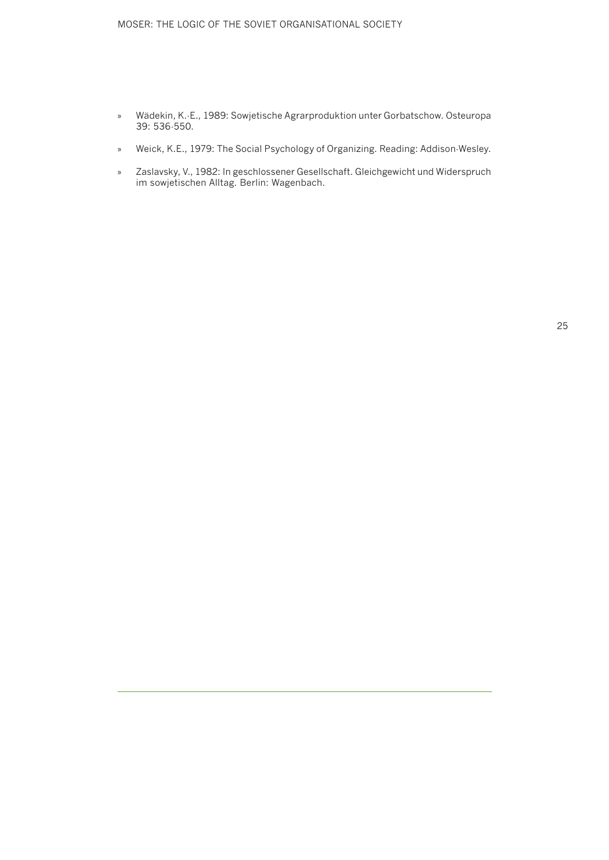#### MOSER: THE LOGIC OF THE SOVIET ORGANISATIONAL SOCIETY

- » Wädekin, K.-E., 1989: Sowjetische Agrarproduktion unter Gorbatschow. Osteuropa 39: 536-550.
- » Weick, K.E., 1979: The Social Psychology of Organizing. Reading: Addison-Wesley.
- » Zaslavsky, V., 1982: In geschlossener Gesellschaft. Gleichgewicht und Widerspruch im sowjetischen Alltag. Berlin: Wagenbach.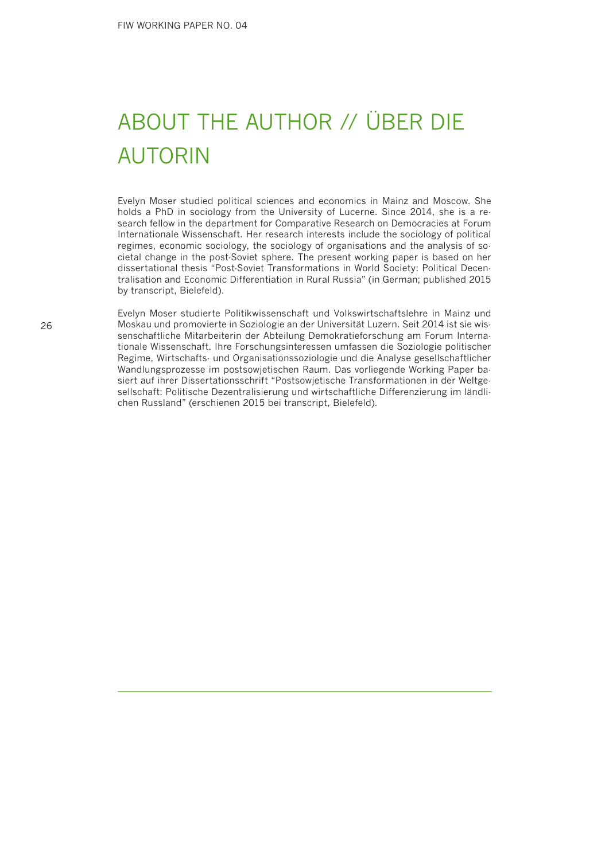# ABOUT THE AUTHOR // ÜBER DIE AUTORIN

Evelyn Moser studied political sciences and economics in Mainz and Moscow. She holds a PhD in sociology from the University of Lucerne. Since 2014, she is a research fellow in the department for Comparative Research on Democracies at Forum Internationale Wissenschaft. Her research interests include the sociology of political regimes, economic sociology, the sociology of organisations and the analysis of societal change in the post-Soviet sphere. The present working paper is based on her dissertational thesis "Post-Soviet Transformations in World Society: Political Decentralisation and Economic Differentiation in Rural Russia" (in German; published 2015 by transcript, Bielefeld).

Evelyn Moser studierte Politikwissenschaft und Volkswirtschaftslehre in Mainz und Moskau und promovierte in Soziologie an der Universität Luzern. Seit 2014 ist sie wissenschaftliche Mitarbeiterin der Abteilung Demokratieforschung am Forum Internationale Wissenschaft. Ihre Forschungsinteressen umfassen die Soziologie politischer Regime, Wirtschafts- und Organisationssoziologie und die Analyse gesellschaftlicher Wandlungsprozesse im postsowjetischen Raum. Das vorliegende Working Paper basiert auf ihrer Dissertationsschrift "Postsowjetische Transformationen in der Weltgesellschaft: Politische Dezentralisierung und wirtschaftliche Differenzierung im ländlichen Russland" (erschienen 2015 bei transcript, Bielefeld).